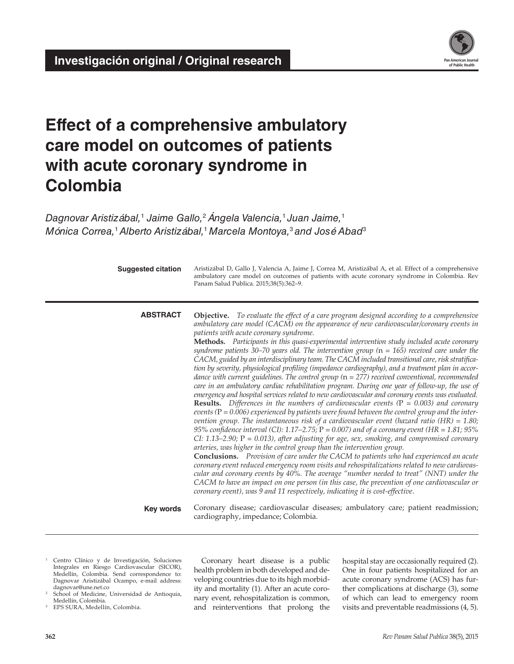

# **Effect of a comprehensive ambulatory care model on outcomes of patients with acute coronary syndrome in Colombia**

*Dagnovar Aristizábal,*<sup>1</sup>  *Jaime Gallo,*2 *Ángela Valencia,*1 *Juan Jaime,*<sup>1</sup> *Mónica Correa,*1 *Alberto Aristizábal,*1 *Marcela Montoya,*3 *and José Abad*<sup>3</sup>

| <b>Suggested citation</b> | Aristizábal D, Gallo J, Valencia A, Jaime J, Correa M, Aristizábal A, et al. Effect of a comprehensive<br>ambulatory care model on outcomes of patients with acute coronary syndrome in Colombia. Rev<br>Panam Salud Publica. 2015;38(5):362-9.                                                                                                                                                                                                                                                                                                                                                                                                                                                                                                                                                                                                                                                                                                                                                                                                                                                                                                                                                                                                                                                                                                                                                                                                                                                                                                                                                                                                                                                                                                                                                                                                                                                                                                                                                                           |  |  |  |
|---------------------------|---------------------------------------------------------------------------------------------------------------------------------------------------------------------------------------------------------------------------------------------------------------------------------------------------------------------------------------------------------------------------------------------------------------------------------------------------------------------------------------------------------------------------------------------------------------------------------------------------------------------------------------------------------------------------------------------------------------------------------------------------------------------------------------------------------------------------------------------------------------------------------------------------------------------------------------------------------------------------------------------------------------------------------------------------------------------------------------------------------------------------------------------------------------------------------------------------------------------------------------------------------------------------------------------------------------------------------------------------------------------------------------------------------------------------------------------------------------------------------------------------------------------------------------------------------------------------------------------------------------------------------------------------------------------------------------------------------------------------------------------------------------------------------------------------------------------------------------------------------------------------------------------------------------------------------------------------------------------------------------------------------------------------|--|--|--|
| <b>ABSTRACT</b>           | <b>Objective.</b> To evaluate the effect of a care program designed according to a comprehensive<br>ambulatory care model (CACM) on the appearance of new cardiovascular/coronary events in<br>patients with acute coronary syndrome.<br>Methods. Participants in this quasi-experimental intervention study included acute coronary<br>syndrome patients 30–70 years old. The intervention group $(n = 165)$ received care under the<br>CACM, guided by an interdisciplinary team. The CACM included transitional care, risk stratifica-<br>tion by severity, physiological profiling (impedance cardiography), and a treatment plan in accor-<br>dance with current guidelines. The control group $(n = 277)$ received conventional, recommended<br>care in an ambulatory cardiac rehabilitation program. During one year of follow-up, the use of<br>emergency and hospital services related to new cardiovascular and coronary events was evaluated.<br><b>Results.</b> Differences in the numbers of cardiovascular events ( $P = 0.003$ ) and coronary<br>events $(P = 0.006)$ experienced by patients were found between the control group and the inter-<br>vention group. The instantaneous risk of a cardiovascular event (hazard ratio $(HR) = 1.80$ ;<br>95% confidence interval (CI): 1.17–2.75; $P = 0.007$ ) and of a coronary event (HR = 1.81; 95%<br>CI: 1.13–2.90; $P = 0.013$ ), after adjusting for age, sex, smoking, and compromised coronary<br>arteries, was higher in the control group than the intervention group.<br><b>Conclusions.</b> Provision of care under the CACM to patients who had experienced an acute<br>coronary event reduced emergency room visits and rehospitalizations related to new cardiovas-<br>cular and coronary events by 40%. The average "number needed to treat" (NNT) under the<br>CACM to have an impact on one person (in this case, the prevention of one cardiovascular or<br>coronary event), was 9 and 11 respectively, indicating it is cost-effective. |  |  |  |
| <b>Key words</b>          | Coronary disease; cardiovascular diseases; ambulatory care; patient readmission;<br>cardiography, impedance; Colombia.                                                                                                                                                                                                                                                                                                                                                                                                                                                                                                                                                                                                                                                                                                                                                                                                                                                                                                                                                                                                                                                                                                                                                                                                                                                                                                                                                                                                                                                                                                                                                                                                                                                                                                                                                                                                                                                                                                    |  |  |  |

- <sup>1</sup> Centro Clínico y de Investigación, Soluciones Integrales en Riesgo Cardiovascular (SICOR), Medellín, Colombia. Send correspondence to: Dagnovar Aristizábal Ocampo, e-mail address: [dagnovar@une.net.co](mailto:dagnovar@une.net.co)
- <sup>2</sup> School of Medicine, Universidad de Antioquia, Medellín, Colombia.
- EPS SURA, Medellín, Colombia.

Coronary heart disease is a public health problem in both developed and developing countries due to its high morbidity and mortality (1). After an acute coronary event, rehospitalization is common, and reinterventions that prolong the

hospital stay are occasionally required (2). One in four patients hospitalized for an acute coronary syndrome (ACS) has further complications at discharge (3), some of which can lead to emergency room visits and preventable readmissions (4, 5).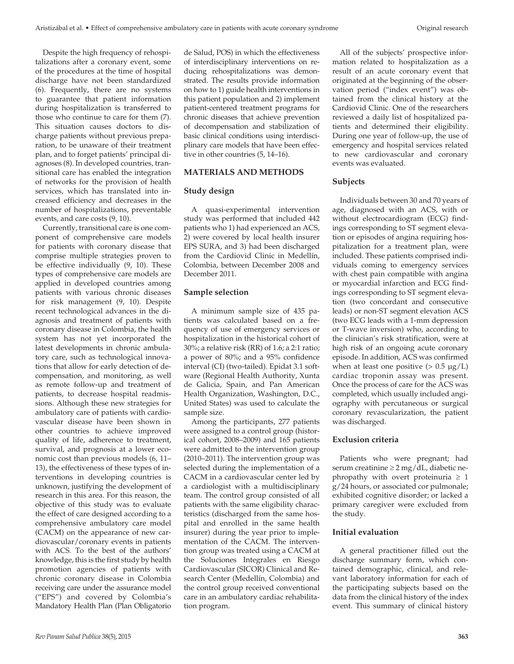Despite the high frequency of rehospitalizations after a coronary event, some of the procedures at the time of hospital discharge have not been standardized (6). Frequently, there are no systems to guarantee that patient information during hospitalization is transferred to those who continue to care for them (7). This situation causes doctors to discharge patients without previous preparation, to be unaware of their treatment plan, and to forget patients' principal diagnoses (8). In developed countries, transitional care has enabled the integration of networks for the provision of health services, which has translated into increased efficiency and decreases in the number of hospitalizations, preventable events, and care costs (9, 10).

Currently, transitional care is one component of comprehensive care models for patients with coronary disease that comprise multiple strategies proven to be effective individually (9, 10). These types of comprehensive care models are applied in developed countries among patients with various chronic diseases for risk management (9, 10). Despite recent technological advances in the diagnosis and treatment of patients with coronary disease in Colombia, the health system has not yet incorporated the latest developments in chronic ambulatory care, such as technological innovations that allow for early detection of decompensation, and monitoring, as well as remote follow-up and treatment of patients, to decrease hospital readmissions. Although these new strategies for ambulatory care of patients with cardiovascular disease have been shown in other countries to achieve improved quality of life, adherence to treatment, survival, and prognosis at a lower economic cost than previous models (6, 11– 13), the effectiveness of these types of interventions in developing countries is unknown, justifying the development of research in this area. For this reason, the objective of this study was to evaluate the effect of care designed according to a comprehensive ambulatory care model (CACM) on the appearance of new cardiovascular/coronary events in patients with ACS. To the best of the authors' knowledge, this is the first study by health promotion agencies of patients with chronic coronary disease in Colombia receiving care under the assurance model ("EPS") and covered by Colombia's Mandatory Health Plan (Plan Obligatorio de Salud, POS) in which the effectiveness of interdisciplinary interventions on reducing rehospitalizations was demonstrated. The results provide information on how to 1) guide health interventions in this patient population and 2) implement patient-centered treatment programs for chronic diseases that achieve prevention of decompensation and stabilization of basic clinical conditions using interdisciplinary care models that have been effective in other countries (5, 14–16).

## **MATERIALS AND METHODS**

# **Study design**

A quasi-experimental intervention study was performed that included 442 patients who 1) had experienced an ACS, 2) were covered by local health insurer EPS SURA, and 3) had been discharged from the Cardiovid Clinic in Medellín, Colombia, between December 2008 and December 2011.

## **Sample selection**

A minimum sample size of 435 patients was calculated based on a frequency of use of emergency services or hospitalization in the historical cohort of 30%; a relative risk (RR) of 1.6; a 2:1 ratio; a power of 80%; and a 95% confidence interval (CI) (two-tailed). Epidat 3.1 software (Regional Health Authority, Xunta de Galicia, Spain, and Pan American Health Organization, Washington, D.C., United States) was used to calculate the sample size.

Among the participants, 277 patients were assigned to a control group (historical cohort, 2008–2009) and 165 patients were admitted to the intervention group (2010–2011). The intervention group was selected during the implementation of a CACM in a cardiovascular center led by a cardiologist with a multidisciplinary team. The control group consisted of all patients with the same eligibility characteristics (discharged from the same hospital and enrolled in the same health insurer) during the year prior to implementation of the CACM. The intervention group was treated using a CACM at the Soluciones Integrales en Riesgo Cardiovascular (SICOR) Clinical and Research Center (Medellín, Colombia) and the control group received conventional care in an ambulatory cardiac rehabilitation program.

All of the subjects' prospective information related to hospitalization as a result of an acute coronary event that originated at the beginning of the observation period ("index event") was obtained from the clinical history at the Cardiovid Clinic. One of the researchers reviewed a daily list of hospitalized patients and determined their eligibility. During one year of follow-up, the use of emergency and hospital services related to new cardiovascular and coronary events was evaluated.

## **Subjects**

Individuals between 30 and 70 years of age, diagnosed with an ACS, with or without electrocardiogram (ECG) findings corresponding to ST segment elevation or episodes of angina requiring hospitalization for a treatment plan, were included. These patients comprised individuals coming to emergency services with chest pain compatible with angina or myocardial infarction and ECG findings corresponding to ST segment elevation (two concordant and consecutive leads) or non-ST segment elevation ACS (two ECG leads with a 1-mm depression or T-wave inversion) who, according to the clinician's risk stratification, were at high risk of an ongoing acute coronary episode. In addition, ACS was confirmed when at least one positive  $(> 0.5 \mu g/L)$ cardiac troponin assay was present. Once the process of care for the ACS was completed, which usually included angiography with percutaneous or surgical coronary revascularization, the patient was discharged.

# **Exclusion criteria**

Patients who were pregnant; had serum creatinine ≥ 2 mg/dL, diabetic nephropathy with overt proteinuria  $\geq 1$ g/24 hours, or associated cor pulmonale; exhibited cognitive disorder; or lacked a primary caregiver were excluded from the study.

# **Initial evaluation**

A general practitioner filled out the discharge summary form, which contained demographic, clinical, and relevant laboratory information for each of the participating subjects based on the data from the clinical history of the index event. This summary of clinical history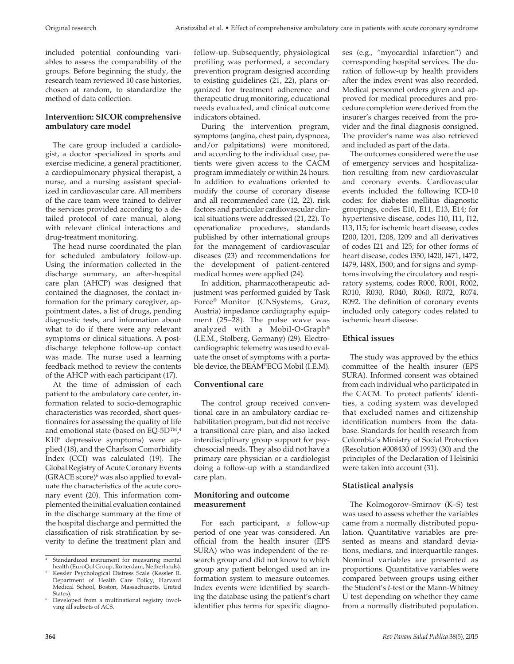included potential confounding variables to assess the comparability of the groups. Before beginning the study, the research team reviewed 10 case histories, chosen at random, to standardize the method of data collection.

# **Intervention: SICOR comprehensive ambulatory care model**

The care group included a cardiologist, a doctor specialized in sports and exercise medicine, a general practitioner, a cardiopulmonary physical therapist, a nurse, and a nursing assistant specialized in cardiovascular care. All members of the care team were trained to deliver the services provided according to a detailed protocol of care manual, along with relevant clinical interactions and drug-treatment monitoring.

The head nurse coordinated the plan for scheduled ambulatory follow-up. Using the information collected in the discharge summary, an after-hospital care plan (AHCP) was designed that contained the diagnoses, the contact information for the primary caregiver, appointment dates, a list of drugs, pending diagnostic tests, and information about what to do if there were any relevant symptoms or clinical situations. A postdischarge telephone follow-up contact was made. The nurse used a learning feedback method to review the contents of the AHCP with each participant (17).

At the time of admission of each patient to the ambulatory care center, information related to socio-demographic characteristics was recorded, short questionnaires for assessing the quality of life and emotional state (based on EQ-5D™, $4$ ) K105 depressive symptoms) were applied (18), and the Charlson Comorbidity Index (CCI) was calculated (19). The Global Registry of Acute Coronary Events  $(GRACE score)^6$  was also applied to evaluate the characteristics of the acute coronary event (20). This information complemented the initial evaluation contained in the discharge summary at the time of the hospital discharge and permitted the classification of risk stratification by severity to define the treatment plan and

follow-up. Subsequently, physiological profiling was performed, a secondary prevention program designed according to existing guidelines (21, 22), plans organized for treatment adherence and therapeutic drug monitoring, educational needs evaluated, and clinical outcome indicators obtained.

During the intervention program, symptoms (angina, chest pain, dyspnoea, and/or palpitations) were monitored, and according to the individual case, patients were given access to the CACM program immediately or within 24 hours. In addition to evaluations oriented to modify the course of coronary disease and all recommended care (12, 22), risk factors and particular cardiovascular clinical situations were addressed (21, 22). To operationalize procedures, standards published by other international groups for the management of cardiovascular diseases (23) and recommendations for the development of patient-centered medical homes were applied (24).

In addition, pharmacotherapeutic adjustment was performed guided by Task Force® Monitor (CNSystems, Graz, Austria) impedance cardiography equipment (25–28). The pulse wave was analyzed with a Mobil-O-Graph® (I.E.M., Stolberg, Germany) (29). Electrocardiographic telemetry was used to evaluate the onset of symptoms with a portable device, the BEAM®ECG Mobil (I.E.M).

# **Conventional care**

The control group received conventional care in an ambulatory cardiac rehabilitation program, but did not receive a transitional care plan, and also lacked interdisciplinary group support for psychosocial needs. They also did not have a primary care physician or a cardiologist doing a follow-up with a standardized care plan.

# **Monitoring and outcome measurement**

For each participant, a follow-up period of one year was considered. An official from the health insurer (EPS SURA) who was independent of the research group and did not know to which group any patient belonged used an information system to measure outcomes. Index events were identified by searching the database using the patient's chart identifier plus terms for specific diagnoses (e.g., "myocardial infarction") and corresponding hospital services. The duration of follow-up by health providers after the index event was also recorded. Medical personnel orders given and approved for medical procedures and procedure completion were derived from the insurer's charges received from the provider and the final diagnosis consigned. The provider's name was also retrieved and included as part of the data.

The outcomes considered were the use of emergency services and hospitalization resulting from new cardiovascular and coronary events. Cardiovascular events included the following ICD-10 codes: for diabetes mellitus diagnostic groupings, codes E10, E11, E13, E14; for hypertensive disease, codes I10, I11, I12, I13, I15; for ischemic heart disease, codes I200, I201, I208, I209 and all derivatives of codes I21 and I25; for other forms of heart disease, codes I350, I420, I471, I472, I479, I48X, I500; and for signs and symptoms involving the circulatory and respiratory systems, codes R000, R001, R002, R010, R030, R040, R060, R072, R074, R092. The definition of coronary events included only category codes related to ischemic heart disease.

# **Ethical issues**

The study was approved by the ethics committee of the health insurer (EPS SURA). Informed consent was obtained from each individual who participated in the CACM. To protect patients' identities, a coding system was developed that excluded names and citizenship identification numbers from the database. Standards for health research from Colombia's Ministry of Social Protection (Resolution #008430 of 1993) (30) and the principles of the Declaration of Helsinki were taken into account (31).

# **Statistical analysis**

The Kolmogorov–Smirnov (K–S) test was used to assess whether the variables came from a normally distributed population. Quantitative variables are presented as means and standard deviations, medians, and interquartile ranges. Nominal variables are presented as proportions. Quantitative variables were compared between groups using either the Student's *t*-test or the Mann-Whitney U test depending on whether they came from a normally distributed population.

<sup>4</sup> Standardized instrument for measuring mental health (EuroQol Group, Rotterdam, Netherlands).

<sup>5</sup> Kessler Psychological Distress Scale (Kessler R. Department of Health Care Policy, Harvard Medical School, Boston, Massachusetts, United

States).<br>Developed from a multinational registry involving all subsets of ACS.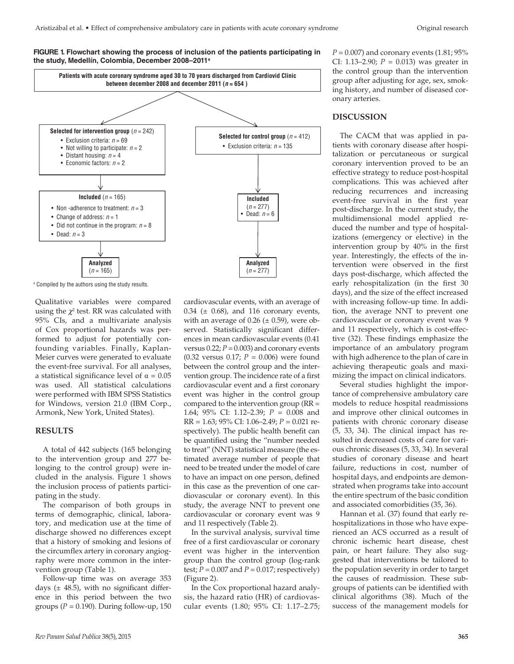



a Compiled by the authors using the study results.

Qualitative variables were compared using the  $\chi^2$  test. RR was calculated with 95% CIs, and a multivariate analysis of Cox proportional hazards was performed to adjust for potentially confounding variables. Finally, Kaplan-Meier curves were generated to evaluate the event-free survival. For all analyses, a statistical significance level of  $α = 0.05$ was used. All statistical calculations were performed with IBM SPSS Statistics for Windows, version 21.0 (IBM Corp., Armonk, New York, United States).

#### **RESULTS**

A total of 442 subjects (165 belonging to the intervention group and 277 belonging to the control group) were included in the analysis. Figure 1 shows the inclusion process of patients participating in the study.

The comparison of both groups in terms of demographic, clinical, laboratory, and medication use at the time of discharge showed no differences except that a history of smoking and lesions of the circumflex artery in coronary angiography were more common in the intervention group (Table 1).

Follow-up time was on average 353 days  $(\pm 48.5)$ , with no significant difference in this period between the two groups  $(P = 0.190)$ . During follow-up, 150 cardiovascular events, with an average of 0.34 ( $\pm$  0.68), and 116 coronary events, with an average of  $0.26 \ (\pm 0.59)$ , were observed. Statistically significant differences in mean cardiovascular events (0.41 versus  $0.22$ ;  $P = 0.003$ ) and coronary events (0.32 versus 0.17; *P* = 0.006) were found between the control group and the intervention group. The incidence rate of a first cardiovascular event and a first coronary event was higher in the control group compared to the intervention group (RR = 1.64; 95% CI: 1.12–2.39; *P* = 0.008 and RR = 1.63; 95% CI: 1.06–2.49; *P* = 0.021 respectively). The public health benefit can be quantified using the "number needed to treat" (NNT) statistical measure (the estimated average number of people that need to be treated under the model of care to have an impact on one person, defined in this case as the prevention of one cardiovascular or coronary event). In this study, the average NNT to prevent one cardiovascular or coronary event was 9 and 11 respectively (Table 2).

In the survival analysis, survival time free of a first cardiovascular or coronary event was higher in the intervention group than the control group (log-rank test;  $P = 0.007$  and  $P = 0.017$ ; respectively) (Figure 2).

In the Cox proportional hazard analysis, the hazard ratio (HR) of cardiovascular events (1.80; 95% CI: 1.17–2.75;  $P = 0.007$ ) and coronary events  $(1.81; 95\%)$ CI: 1.13–2.90;  $P = 0.013$ ) was greater in the control group than the intervention group after adjusting for age, sex, smoking history, and number of diseased coronary arteries.

## **DISCUSSION**

The CACM that was applied in patients with coronary disease after hospitalization or percutaneous or surgical coronary intervention proved to be an effective strategy to reduce post-hospital complications. This was achieved after reducing recurrences and increasing event-free survival in the first year post-discharge. In the current study, the multidimensional model applied reduced the number and type of hospitalizations (emergency or elective) in the intervention group by 40% in the first year. Interestingly, the effects of the intervention were observed in the first days post-discharge, which affected the early rehospitalization (in the first 30 days), and the size of the effect increased with increasing follow-up time. In addition, the average NNT to prevent one cardiovascular or coronary event was 9 and 11 respectively, which is cost-effective (32). These findings emphasize the importance of an ambulatory program with high adherence to the plan of care in achieving therapeutic goals and maximizing the impact on clinical indicators.

Several studies highlight the importance of comprehensive ambulatory care models to reduce hospital readmissions and improve other clinical outcomes in patients with chronic coronary disease (5, 33, 34). The clinical impact has resulted in decreased costs of care for various chronic diseases (5, 33, 34). In several studies of coronary disease and heart failure, reductions in cost, number of hospital days, and endpoints are demonstrated when programs take into account the entire spectrum of the basic condition and associated comorbidities (35, 36).

Hannan et al. (37) found that early rehospitalizations in those who have experienced an ACS occurred as a result of chronic ischemic heart disease, chest pain, or heart failure. They also suggested that interventions be tailored to the population severity in order to target the causes of readmission. These subgroups of patients can be identified with clinical algorithms (38). Much of the success of the management models for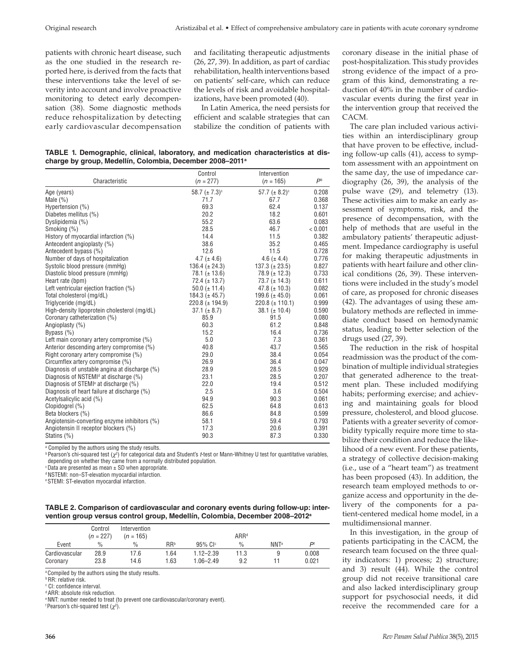patients with chronic heart disease, such as the one studied in the research reported here, is derived from the facts that these interventions take the level of severity into account and involve proactive monitoring to detect early decompensation (38). Some diagnostic methods reduce rehospitalization by detecting early cardiovascular decompensation

and facilitating therapeutic adjustments (26, 27, 39). In addition, as part of cardiac rehabilitation, health interventions based on patients' self-care, which can reduce the levels of risk and avoidable hospitalizations, have been promoted (40).

In Latin America, the need persists for efficient and scalable strategies that can stabilize the condition of patients with

**TABLE 1. Demographic, clinical, laboratory, and medication characteristics at discharge by group, Medellín, Colombia, December 2008–2011a**

|                                                   | Control              | Intervention        |                |
|---------------------------------------------------|----------------------|---------------------|----------------|
| Characteristic                                    | $(n = 277)$          | $(n = 165)$         | P <sub>b</sub> |
| Age (years)                                       | $58.7 \ (\pm 7.3)^c$ | $57.7 (\pm 8.2)^c$  | 0.208          |
| Male $(\%)$                                       | 71.7                 | 67.7                | 0.368          |
| Hypertension (%)                                  | 69.3                 | 62.4                | 0.137          |
| Diabetes mellitus (%)                             | 20.2                 | 18.2                | 0.601          |
| Dyslipidemia (%)                                  | 55.2                 | 63.6                | 0.083          |
| Smoking (%)                                       | 28.5                 | 46.7                | < 0.001        |
| History of myocardial infarction (%)              | 14.4                 | 11.5                | 0.382          |
| Antecedent angioplasty (%)                        | 38.6                 | 35.2                | 0.465          |
| Antecedent bypass (%)                             | 12.6                 | 11.5                | 0.728          |
| Number of days of hospitalization                 | 4.7 ( $\pm$ 4.6)     | 4.6 ( $\pm$ 4.4)    | 0.776          |
| Systolic blood pressure (mmHg)                    | 136.4 ( $\pm$ 24.3)  | $137.3 (\pm 23.5)$  | 0.827          |
| Diastolic blood pressure (mmHg)                   | $78.1 (\pm 13.6)$    | $78.9 (\pm 12.3)$   | 0.733          |
| Heart rate (bpm)                                  | $72.4 (\pm 13.7)$    | 73.7 $(\pm 14.3)$   | 0.611          |
| Left ventricular ejection fraction (%)            | $50.0 (\pm 11.4)$    | 47.8 ( $\pm$ 10.3)  | 0.082          |
| Total cholesterol (mg/dL)                         | $184.3 (\pm 45.7)$   | 199.6 ( $\pm$ 45.0) | 0.061          |
| Triglyceride (mg/dL)                              | $220.8 (\pm 194.9)$  | $220.8 (\pm 110.1)$ | 0.999          |
| High-density lipoprotein cholesterol (mg/dL)      | $37.1 (\pm 8.7)$     | $38.1 (\pm 10.4)$   | 0.590          |
| Coronary catheterization (%)                      | 85.9                 | 91.5                | 0.080          |
| Angioplasty (%)                                   | 60.3                 | 61.2                | 0.848          |
| Bypass $(\% )$                                    | 15.2                 | 16.4                | 0.736          |
| Left main coronary artery compromise (%)          | 5.0                  | 7.3                 | 0.361          |
| Anterior descending artery compromise (%)         | 40.8                 | 43.7                | 0.565          |
| Right coronary artery compromise (%)              | 29.0                 | 38.4                | 0.054          |
| Circumflex artery compromise (%)                  | 26.9                 | 36.4                | 0.047          |
| Diagnosis of unstable angina at discharge (%)     | 28.9                 | 28.5                | 0.929          |
| Diagnosis of NSTEMI <sup>d</sup> at discharge (%) | 23.1                 | 28.5                | 0.207          |
| Diagnosis of STEMI <sup>e</sup> at discharge (%)  | 22.0                 | 19.4                | 0.512          |
| Diagnosis of heart failure at discharge (%)       | 2.5                  | 3.6                 | 0.504          |
| Acetylsalicylic acid (%)                          | 94.9                 | 90.3                | 0.061          |
| Clopidogrel (%)                                   | 62.5                 | 64.8                | 0.613          |
| Beta blockers (%)                                 | 86.6                 | 84.8                | 0.599          |
| Angiotensin-converting enzyme inhibitors (%)      | 58.1                 | 59.4                | 0.793          |
| Angiotensin II receptor blockers (%)              | 17.3                 | 20.6                | 0.391          |
| Statins (%)                                       | 90.3                 | 87.3                | 0.330          |

<sup>a</sup> Compiled by the authors using the study results.<br><sup>b</sup> Pearson's chi-squared test (χ<sup>2</sup>) for categorical data and Student's *t*-test or Mann-Whitney U test for quantitative variables, depending on whether they came from a normally distributed population.

 $c$  Data are presented as mean  $\pm$  SD when appropriate.

d NSTEMI: non–ST-elevation myocardial infarction.

e STEMI: ST-elevation myocardial infarction.

**TABLE 2. Comparison of cardiovascular and coronary events during follow-up: intervention group versus control group, Medellín, Colombia, December 2008–2012a**

|                            | Control<br>$(n = 227)$ | Intervention<br>$(n = 165)$ |              |                                | ARR <sup>d</sup> |                  |                |
|----------------------------|------------------------|-----------------------------|--------------|--------------------------------|------------------|------------------|----------------|
| Event                      | $\%$                   | $\%$                        | <b>RR</b> b  | $95\%$ Cl <sup>c</sup>         | $\%$             | NNT <sup>e</sup> | ים             |
| Cardiovascular<br>Coronary | 28.9<br>23.8           | 17.6<br>14.6                | 1.64<br>1.63 | $1.12 - 2.39$<br>$1.06 - 2.49$ | 11.3<br>9.2      | 9                | 0.008<br>0.021 |

<sup>a</sup> Compiled by the authors using the study results.

**b** RR: relative risk.

d ARR: absolute risk reduction.

e NNT: number needed to treat (to prevent one cardiovascular/coronary event).

 $f$  Pearson's chi-squared test  $(\chi^2)$ .

coronary disease in the initial phase of post-hospitalization. This study provides strong evidence of the impact of a program of this kind, demonstrating a reduction of 40% in the number of cardiovascular events during the first year in the intervention group that received the CACM.

The care plan included various activities within an interdisciplinary group that have proven to be effective, including follow-up calls (41), access to symptom assessment with an appointment on the same day, the use of impedance cardiography (26, 39), the analysis of the pulse wave (29), and telemetry (13). These activities aim to make an early assessment of symptoms, risk, and the presence of decompensation, with the help of methods that are useful in the ambulatory patients' therapeutic adjustment. Impedance cardiography is useful for making therapeutic adjustments in patients with heart failure and other clinical conditions (26, 39). These interventions were included in the study's model of care, as proposed for chronic diseases (42). The advantages of using these ambulatory methods are reflected in immediate conduct based on hemodynamic status, leading to better selection of the drugs used (27, 39).

The reduction in the risk of hospital readmission was the product of the combination of multiple individual strategies that generated adherence to the treatment plan. These included modifying habits; performing exercise; and achieving and maintaining goals for blood pressure, cholesterol, and blood glucose. Patients with a greater severity of comorbidity typically require more time to stabilize their condition and reduce the likelihood of a new event. For these patients, a strategy of collective decision-making (i.e., use of a "heart team") as treatment has been proposed (43). In addition, the research team employed methods to organize access and opportunity in the delivery of the components for a patient-centered medical home model, in a multidimensional manner.

In this investigation, in the group of patients participating in the CACM, the research team focused on the three quality indicators: 1) process; 2) structure; and 3) result (44). While the control group did not receive transitional care and also lacked interdisciplinary group support for psychosocial needs, it did receive the recommended care for a

c CI: confidence interval.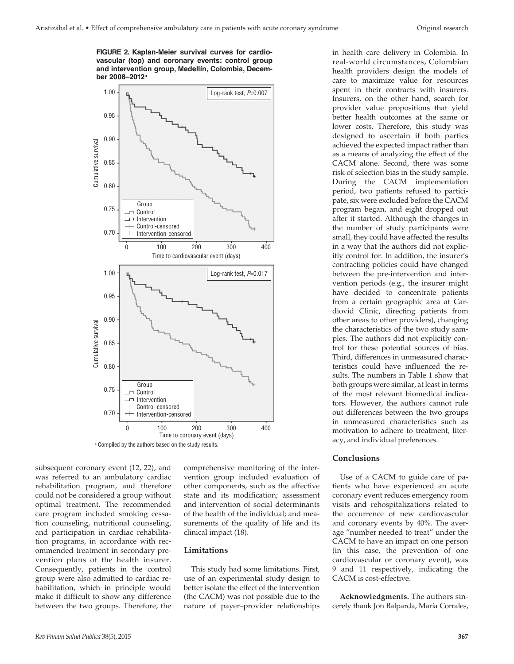**FIGURE 2. Kaplan-Meier survival curves for cardiovascular (top) and coronary events: control group and intervention group, Medellín, Colombia, December 2008–2012a**



<sup>a</sup> Compiled by the authors based on the study results.

subsequent coronary event (12, 22), and was referred to an ambulatory cardiac rehabilitation program, and therefore could not be considered a group without optimal treatment. The recommended care program included smoking cessation counseling, nutritional counseling, and participation in cardiac rehabilitation programs, in accordance with recommended treatment in secondary prevention plans of the health insurer. Consequently, patients in the control group were also admitted to cardiac rehabilitation, which in principle would make it difficult to show any difference between the two groups. Therefore, the

comprehensive monitoring of the intervention group included evaluation of other components, such as the affective state and its modification; assessment and intervention of social determinants of the health of the individual; and measurements of the quality of life and its clinical impact (18).

#### **Limitations**

This study had some limitations. First, use of an experimental study design to better isolate the effect of the intervention (the CACM) was not possible due to the nature of payer–provider relationships

in health care delivery in Colombia. In real-world circumstances, Colombian health providers design the models of care to maximize value for resources spent in their contracts with insurers. Insurers, on the other hand, search for provider value propositions that yield better health outcomes at the same or lower costs. Therefore, this study was designed to ascertain if both parties achieved the expected impact rather than as a means of analyzing the effect of the CACM alone. Second, there was some risk of selection bias in the study sample. During the CACM implementation period, two patients refused to participate, six were excluded before the CACM program began, and eight dropped out after it started. Although the changes in the number of study participants were small, they could have affected the results in a way that the authors did not explicitly control for. In addition, the insurer's contracting policies could have changed between the pre-intervention and intervention periods (e.g., the insurer might have decided to concentrate patients from a certain geographic area at Cardiovid Clinic, directing patients from other areas to other providers), changing the characteristics of the two study samples. The authors did not explicitly control for these potential sources of bias. Third, differences in unmeasured characteristics could have influenced the results. The numbers in Table 1 show that both groups were similar, at least in terms of the most relevant biomedical indicators. However, the authors cannot rule out differences between the two groups in unmeasured characteristics such as motivation to adhere to treatment, literacy, and individual preferences.

#### **Conclusions**

Use of a CACM to guide care of patients who have experienced an acute coronary event reduces emergency room visits and rehospitalizations related to the occurrence of new cardiovascular and coronary events by 40%. The average "number needed to treat" under the CACM to have an impact on one person (in this case, the prevention of one cardiovascular or coronary event), was 9 and 11 respectively, indicating the CACM is cost-effective.

**Acknowledgments.** The authors sincerely thank Jon Balparda, María Corrales,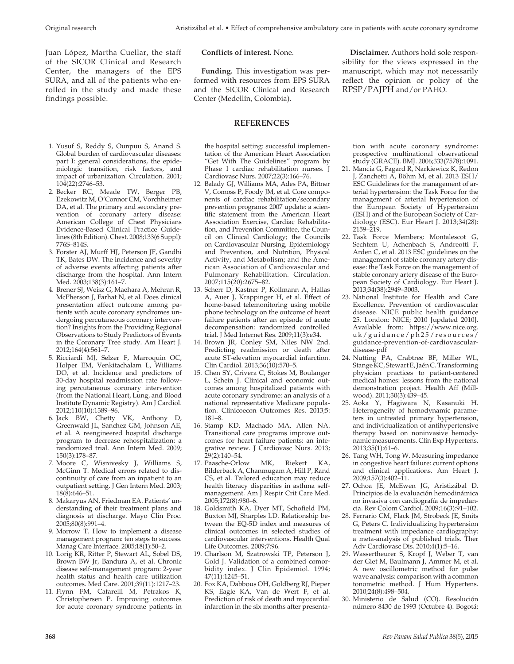Juan López, Martha Cuellar, the staff of the SICOR Clinical and Research Center, the managers of the EPS SURA, and all of the patients who enrolled in the study and made these findings possible.

- 1. Yusuf S, Reddy S, Ounpuu S, Anand S. Global burden of cardiovascular diseases: part I: general considerations, the epidemiologic transition, risk factors, and impact of urbanization. Circulation. 2001; 104(22):2746–53.
- 2. Becker RC, Meade TW, Berger PB, Ezekowitz M, O'Connor CM, Vorchheimer DA, et al. The primary and secondary prevention of coronary artery disease: American College of Chest Physicians Evidence-Based Clinical Practice Guidelines (8th Edition). Chest. 2008;133(6 Suppl): 776S–814S.
- 3. Forster AJ, Murff HJ, Peterson JF, Gandhi TK, Bates DW. The incidence and severity of adverse events affecting patients after discharge from the hospital. Ann Intern Med. 2003;138(3):161–7.
- 4. Brener SJ, Weisz G, Maehara A, Mehran R, McPherson J, Farhat N, et al. Does clinical presentation affect outcome among patients with acute coronary syndromes undergoing percutaneous coronary intervention? Insights from the Providing Regional Observations to Study Predictors of Events in the Coronary Tree study. Am Heart J. 2012;164(4):561–7.
- 5. Ricciardi MJ, Selzer F, Marroquin OC, Holper EM, Venkitachalam L, Williams DO, et al. Incidence and predictors of 30-day hospital readmission rate following percutaneous coronary intervention (from the National Heart, Lung, and Blood Institute Dynamic Registry). Am J Cardiol. 2012;110(10):1389–96.
- 6. Jack BW, Chetty VK, Anthony D, Greenwald JL, Sanchez GM, Johnson AE, et al. A reengineered hospital discharge program to decrease rehospitalization: a randomized trial. Ann Intern Med. 2009; 150(3):178–87.
- 7. Moore C, Wisnivesky J, Williams S, McGinn T. Medical errors related to discontinuity of care from an inpatient to an outpatient setting. J Gen Intern Med. 2003; 18(8):646–51.
- 8. Makaryus AN, Friedman EA. Patients' understanding of their treatment plans and diagnosis at discharge. Mayo Clin Proc. 2005;80(8):991–4.
- 9. Morrow T. How to implement a disease management program: ten steps to success. Manag Care Interface. 2005;18(1):50–2.
- 10. Lorig KR, Ritter P, Stewart AL, Sobel DS, Brown BW Jr, Bandura A, et al. Chronic disease self-management program: 2-year health status and health care utilization outcomes. Med Care. 2001;39(11):1217–23.
- 11. Flynn FM, Cafarelli M, Petrakos K, Christophersen P. Improving outcomes for acute coronary syndrome patients in

#### **Conflicts of interest.** None.

**Funding.** This investigation was performed with resources from EPS SURA and the SICOR Clinical and Research Center (Medellín, Colombia).

## **REFERENCES**

the hospital setting: successful implementation of the American Heart Association "Get With The Guidelines" program by Phase I cardiac rehabilitation nurses. J Cardiovasc Nurs. 2007;22(3):166–76.

- 12. Balady GJ, Williams MA, Ades PA, Bittner V, Comoss P, Foody JM, et al. Core components of cardiac rehabilitation/secondary prevention programs: 2007 update: a scientific statement from the American Heart Association Exercise, Cardiac Rehabilitation, and Prevention Committee, the Council on Clinical Cardiology; the Councils on Cardiovascular Nursing, Epidemiology and Prevention, and Nutrition, Physical Activity, and Metabolism; and the American Association of Cardiovascular and Pulmonary Rehabilitation. Circulation. 2007;115(20):2675–82.
- 13. Scherr D, Kastner P, Kollmann A, Hallas A, Auer J, Krappinger H, et al. Effect of home-based telemonitoring using mobile phone technology on the outcome of heart failure patients after an episode of acute decompensation: randomized controlled trial. J Med Internet Res. 2009;11(3):e34.
- 14. Brown JR, Conley SM, Niles NW 2nd. Predicting readmission or death after acute ST-elevation myocardial infarction. Clin Cardiol. 2013;36(10):570–5.
- 15. Chen SY, Crivera C, Stokes M, Boulanger L, Schein J. Clinical and economic outcomes among hospitalized patients with acute coronary syndrome: an analysis of a national representative Medicare population. Clinicoecon Outcomes Res. 2013;5: 181–8.
- 16. Stamp KD, Machado MA, Allen NA. Transitional care programs improve outcomes for heart failure patients: an integrative review. J Cardiovasc Nurs. 2013; 29(2):140–54.
- 17. Paasche-Orlow MK, Riekert KA, Bilderback A, Chanmugam A, Hill P, Rand CS, et al. Tailored education may reduce health literacy disparities in asthma selfmanagement. Am J Respir Crit Care Med. 2005;172(8):980–6.
- 18. Goldsmith KA, Dyer MT, Schofield PM, Buxton MJ, Sharples LD. Relationship between the EQ-5D index and measures of clinical outcomes in selected studies of cardiovascular interventions. Health Qual Life Outcomes. 2009;7:96.
- 19. Charlson M, Szatrowski TP, Peterson J, Gold J. Validation of a combined comorbidity index. J Clin Epidemiol. 1994; 47(11):1245–51.
- 20. Fox KA, Dabbous OH, Goldberg RJ, Pieper KS, Eagle KA, Van de Werf F, et al. Prediction of risk of death and myocardial infarction in the six months after presenta-

**Disclaimer.** Authors hold sole responsibility for the views expressed in the manuscript, which may not necessarily reflect the opinion or policy of the RPSP/PAJPH and/or PAHO.

tion with acute coronary syndrome: prospective multinational observational study (GRACE). BMJ. 2006;333(7578):1091.

- 21. Mancia G, Fagard R, Narkiewicz K, Redon J, Zanchetti A, Böhm M, et al. 2013 ESH/ ESC Guidelines for the management of arterial hypertension: the Task Force for the management of arterial hypertension of the European Society of Hypertension (ESH) and of the European Society of Cardiology (ESC). Eur Heart J. 2013;34(28): 2159–219.
- 22. Task Force Members; Montalescot G, Sechtem U, Achenbach S, Andreotti F, Arden C, et al. 2013 ESC guidelines on the management of stable coronary artery disease: the Task Force on the management of stable coronary artery disease of the European Society of Cardiology. Eur Heart J. 2013;34(38):2949–3003.
- 23. National Institute for Health and Care Excellence. Prevention of cardiovascular disease. NICE public health guidance 25. London: NICE; 2010 [updated 2010]. Available from: https://www.nice.org. uk/guidance/ph25/resources/ guidance-prevention-of-cardiovasculardisease-pdf
- 24. Nutting PA, Crabtree BF, Miller WL, Stange KC, Stewart E, Jaén C. Transforming physician practices to patient-centered medical homes: lessons from the national demonstration project. Health Aff (Millwood). 2011;30(3):439–45.
- 25. Aoka Y, Hagiwara N, Kasanuki H. Heterogeneity of hemodynamic parameters in untreated primary hypertension, and individualization of antihypertensive therapy based on noninvasive hemodynamic measurements. Clin Exp Hypertens. 2013;35(1):61–6.
- 26. Tang WH, Tong W. Measuring impedance in congestive heart failure: current options and clinical applications. Am Heart J. 2009;157(3):402–11.
- 27. Ochoa JE, McEwen JG, Aristizábal D. Principios de la evaluación hemodinámica no invasiva con cardiografía de impedancia. Rev Colom Cardiol. 2009;16(3):91–102.
- 28. Ferrario CM, Flack JM, Strobeck JE, Smits G, Peters C. Individualizing hypertension treatment with impedance cardiography: a meta-analysis of published trials. Ther Adv Cardiovasc Dis. 2010;4(1):5–16.
- 29. Wassertheurer S, Kropf J, Weber T, van der Giet M, Baulmann J, Ammer M, et al. A new oscillometric method for pulse wave analysis: comparison with a common tonometric method. J Hum Hypertens. 2010;24(8):498–504.
- 30. Ministerio de Salud (CO). Resolución número 8430 de 1993 (Octubre 4). Bogotá: